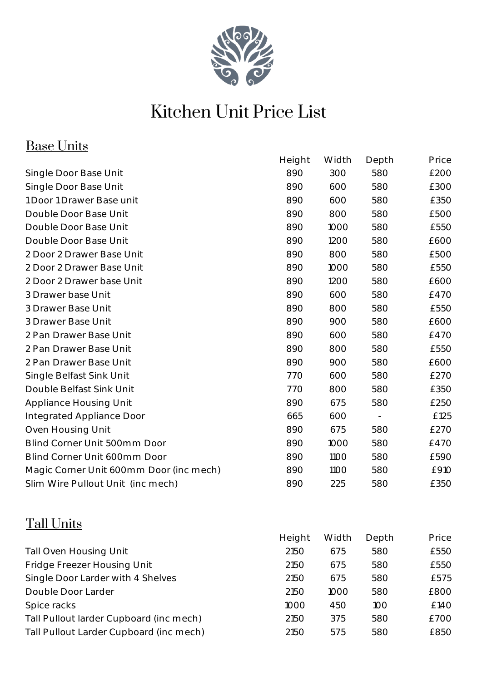

# Kitchen Unit Price List

### Base Units

| <u>Duov Unito</u>                       |        |       |                          |       |
|-----------------------------------------|--------|-------|--------------------------|-------|
|                                         | Height | Width | Depth                    | Price |
| Single Door Base Unit                   | 890    | 300   | 580                      | £200  |
| Single Door Base Unit                   | 890    | 600   | 580                      | £300  |
| 1 Door 1 Drawer Base unit               | 890    | 600   | 580                      | £350  |
| Double Door Base Unit                   | 890    | 800   | 580                      | £500  |
| Double Door Base Unit                   | 890    | 1000  | 580                      | £550  |
| Double Door Base Unit                   | 890    | 1200  | 580                      | £600  |
| 2 Door 2 Drawer Base Unit               | 890    | 800   | 580                      | £500  |
| 2 Door 2 Drawer Base Unit               | 890    | 1000  | 580                      | £550  |
| 2 Door 2 Drawer base Unit               | 890    | 1200  | 580                      | £600  |
| 3 Drawer base Unit                      | 890    | 600   | 580                      | £470  |
| 3 Drawer Base Unit                      | 890    | 800   | 580                      | £550  |
| 3 Drawer Base Unit                      | 890    | 900   | 580                      | £600  |
| 2 Pan Drawer Base Unit                  | 890    | 600   | 580                      | £470  |
| 2 Pan Drawer Base Unit                  | 890    | 800   | 580                      | £550  |
| 2 Pan Drawer Base Unit                  | 890    | 900   | 580                      | £600  |
| Single Belfast Sink Unit                | 770    | 600   | 580                      | £270  |
| Double Belfast Sink Unit                | 770    | 800   | 580                      | £350  |
| <b>Appliance Housing Unit</b>           | 890    | 675   | 580                      | £250  |
| Integrated Appliance Door               | 665    | 600   | $\overline{\phantom{a}}$ | £125  |
| Oven Housing Unit                       | 890    | 675   | 580                      | £270  |
| Blind Corner Unit 500mm Door            | 890    | 1000  | 580                      | £470  |
| Blind Corner Unit 600mm Door            | 890    | 1100  | 580                      | £590  |
| Magic Corner Unit 600mm Door (inc mech) | 890    | 1100  | 580                      | £910  |
| Slim Wire Pullout Unit (inc mech)       | 890    | 225   | 580                      | £350  |
|                                         |        |       |                          |       |

### Tall Units

|                                         | Height | Width | Depth | Price |
|-----------------------------------------|--------|-------|-------|-------|
| <b>Tall Oven Housing Unit</b>           | 2150   | 675   | 580   | £550  |
| Fridge Freezer Housing Unit             | 2150   | 675   | 580   | £550  |
| Single Door Larder with 4 Shelves       | 2150   | 675   | 580   | £575  |
| Double Door Larder                      | 2150   | 1000  | 580   | £800  |
| Spice racks                             | 1000   | 450   | 100   | £140  |
| Tall Pullout larder Cupboard (inc mech) | 2150   | 375   | 580   | £700  |
| Tall Pullout Larder Cupboard (inc mech) | 2150   | 575   | 580   | £850  |
|                                         |        |       |       |       |